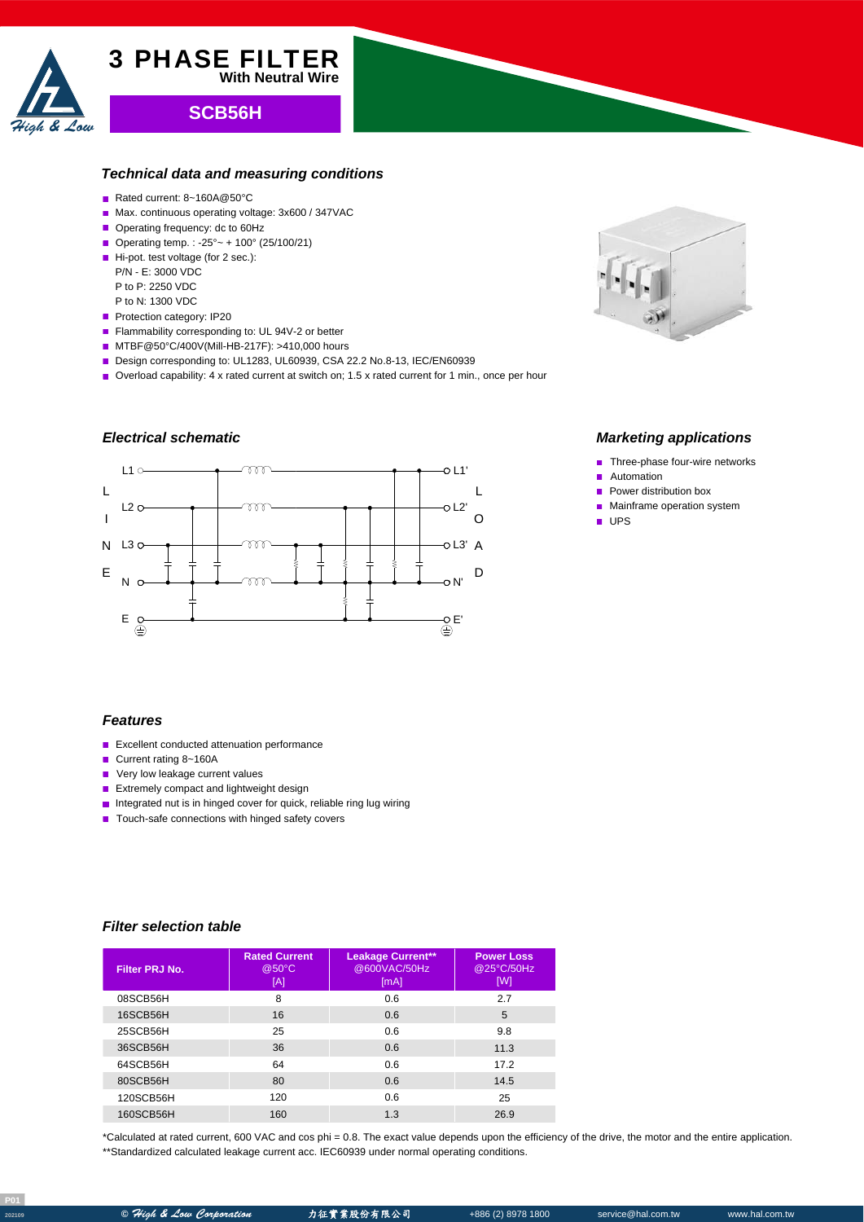

# **SCB56H**

3 PHASE FILTER

#### *Technical data and measuring conditions*

**With Neutral Wire**

- Rated current: 8~160A@50°C
- Max. continuous operating voltage: 3x600 / 347VAC
- Operating frequency: dc to 60Hz
- Operating temp. : -25° ~ + 100° (25/100/21)
- Hi-pot. test voltage (for 2 sec.):
	- P/N E: 3000 VDC
	- P to P: 2250 VDC
- P to N: 1300 VDC
- Protection category: IP20
- Flammability corresponding to: UL 94V-2 or better
- MTBF@50°C/400V(Mill-HB-217F): >410,000 hours
- Design corresponding to: UL1283, UL60939, CSA 22.2 No.8-13, IEC/EN60939
- Overload capability: 4 x rated current at switch on; 1.5 x rated current for 1 min., once per hour

# *Electrical schematic*





### *Marketing applications*

- Three-phase four-wire networks
- Automation
- $\blacksquare$  Power distribution box
- **Mainframe operation system**
- UPS

#### *Features*

- **Excellent conducted attenuation performance**
- Current rating 8~160A
- **Very low leakage current values**
- **Extremely compact and lightweight design**
- **Integrated nut is in hinged cover for quick, reliable ring lug wiring**
- Touch-safe connections with hinged safety covers

#### *Filter selection table*

| Filter PRJ No. | <b>Rated Current</b><br>@50°C<br>[A] | <b>Leakage Current**</b><br>@600VAC/50Hz<br>[mA] | <b>Power Loss</b><br>@25°C/50Hz<br>[W] |
|----------------|--------------------------------------|--------------------------------------------------|----------------------------------------|
| 08SCB56H       | 8                                    | 0.6                                              | 2.7                                    |
| 16SCB56H       | 16                                   | 0.6                                              | 5                                      |
| 25SCB56H       | 25                                   | 0.6                                              | 9.8                                    |
| 36SCB56H       | 36                                   | 0.6                                              | 11.3                                   |
| 64SCB56H       | 64                                   | 0.6                                              | 172                                    |
| 80SCB56H       | 80                                   | 0.6                                              | 14.5                                   |
| 120SCB56H      | 120                                  | 0.6                                              | 25                                     |
| 160SCB56H      | 160                                  | 1.3                                              | 26.9                                   |

\*Calculated at rated current, 600 VAC and cos phi = 0.8. The exact value depends upon the efficiency of the drive, the motor and the entire application. \*\*Standardized calculated leakage current acc. IEC60939 under normal operating conditions.

**P01**